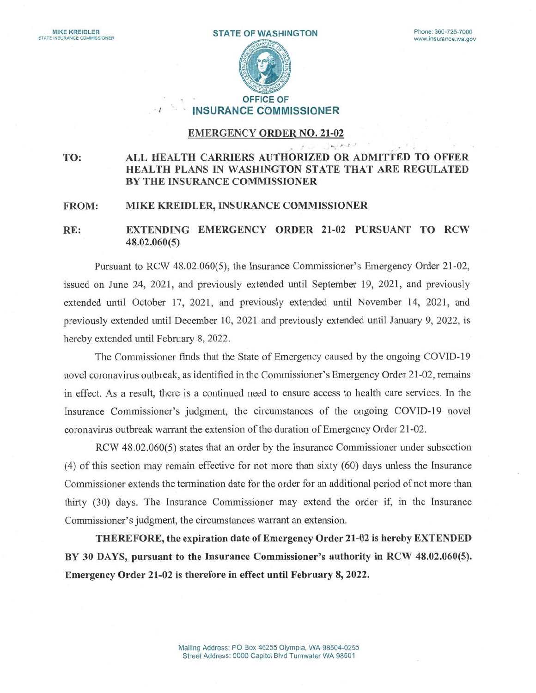

# INSURANCE COMMISSIONER

## EMERGENCY ORDER N0. 21-02

 $\label{eq:4} \begin{array}{l} \mathbf{b}_1 \cdot \mathbf{a} \cdot \mathbf{b}_1 \cdot \mathbf{b}_2 \end{array}$ 

#### TO: ALL HEALTH CARRIERS AUTHORIZED OR ADMITTED TO OFFER HEALTH PLANS IN WASHINGTON STATE THAT ARE REGULATED BY THE INSURANCE COMMISSIONER

### FROM: MIKE KREIDLER, INSURANCE COMMISSIONER

 $\overline{z}$ 

## RE: EXTENDING EMERGENCY ORDER 21-02 PURSUANT TO RCW 48.02.060(5)

Pursuant to RCW 48.02.060(5), the Insurance Commissioner's Emergency Order 21-02, issued on June 24, 2021, and previously extended until September 19, 2021, and previously extended until October 17, 2021, and previously extended until November 14, 2021, and previously extended until December 10, 2021 and previously extended until January 9, 2022, is hereby extended until February 8, 2022.

The Commissioner finds that the State of Emergency caused by the ongoing COVID-19 novel coronavirus outbreak, as identified in the Commissioner's Emergency Order 21-02, remains in effect. As a result, there is a continued need to ensure access to health care services. In the Insurance Commissioner's judgment, the circumstances of the ongoing COVID-19 novel coronavirus outbreak warrant the extension of the duration of Emergency Order 21-02.

RCW 48.02.060(5) states that an order by the Insurance Commissioner under subsection (4) of this section may remain effective for not more than sixty (60) days unless the Insurance Commissioner extends the termination date for the order for an additional period of not more than thirty (30) days. The Insurance Commissioner may extend the order if, in the Insurance Commissioner's judgment, the circumstances warrant an extension.

THEREFORE, the expiration date of Emergency Order 21-02 is hereby EXTENDED BY 30 DAYS, pursuant to the Insurance Commissioner's authority in RCW 48.02.060(5). Emergency Order 21-02 is therefore in effect until February 8, 2022.